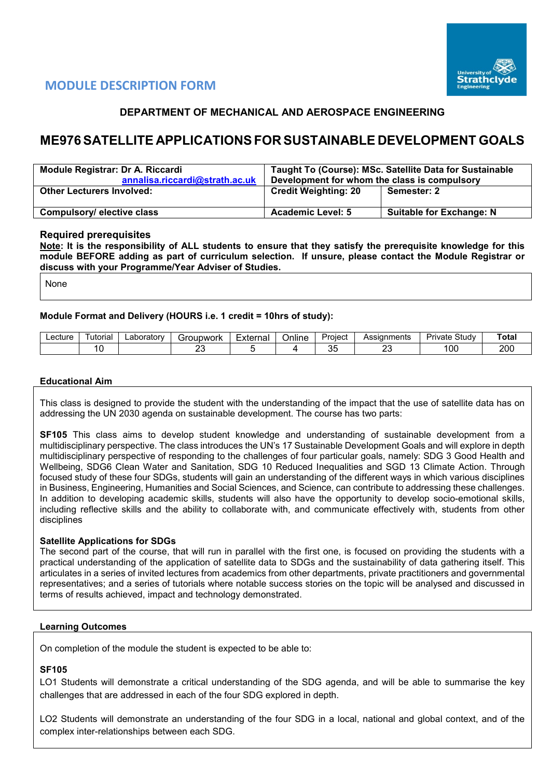

# **MODULE DESCRIPTION FORM**

# **DEPARTMENT OF MECHANICAL AND AEROSPACE ENGINEERING**

# **ME976SATELLITE APPLICATIONSFOR SUSTAINABLE DEVELOPMENT GOALS**

| Module Registrar: Dr A. Riccardi<br>annalisa.riccardi@strath.ac.uk | Taught To (Course): MSc. Satellite Data for Sustainable<br>Development for whom the class is compulsory |                                 |  |  |  |
|--------------------------------------------------------------------|---------------------------------------------------------------------------------------------------------|---------------------------------|--|--|--|
| <b>Other Lecturers Involved:</b>                                   | <b>Credit Weighting: 20</b>                                                                             | Semester: 2                     |  |  |  |
| Compulsory/elective class                                          | <b>Academic Level: 5</b>                                                                                | <b>Suitable for Exchange: N</b> |  |  |  |

#### **Required prerequisites**

**Note: It is the responsibility of ALL students to ensure that they satisfy the prerequisite knowledge for this module BEFORE adding as part of curriculum selection. If unsure, please contact the Module Registrar or discuss with your Programme/Year Adviser of Studies.** 

None

#### **Module Format and Delivery (HOURS i.e. 1 credit = 10hrs of study):**

| ∟ecture | utoria | ∟aboratorv | iroupwork   | External | Online |    | Assianments  | Study<br>Private | ⊺ota |
|---------|--------|------------|-------------|----------|--------|----|--------------|------------------|------|
|         |        |            | $\sim$<br>∼ |          |        | ບເ | $\sim$<br>-- | <sub>0</sub>     | 200  |

#### **Educational Aim**

This class is designed to provide the student with the understanding of the impact that the use of satellite data has on addressing the UN 2030 agenda on sustainable development. The course has two parts:

**SF105** This class aims to develop student knowledge and understanding of sustainable development from a multidisciplinary perspective. The class introduces the UN's 17 Sustainable Development Goals and will explore in depth multidisciplinary perspective of responding to the challenges of four particular goals, namely: SDG 3 Good Health and Wellbeing, SDG6 Clean Water and Sanitation, SDG 10 Reduced Inequalities and SGD 13 Climate Action. Through focused study of these four SDGs, students will gain an understanding of the different ways in which various disciplines in Business, Engineering, Humanities and Social Sciences, and Science, can contribute to addressing these challenges. In addition to developing academic skills, students will also have the opportunity to develop socio-emotional skills, including reflective skills and the ability to collaborate with, and communicate effectively with, students from other disciplines

#### **Satellite Applications for SDGs**

The second part of the course, that will run in parallel with the first one, is focused on providing the students with a practical understanding of the application of satellite data to SDGs and the sustainability of data gathering itself. This articulates in a series of invited lectures from academics from other departments, private practitioners and governmental representatives; and a series of tutorials where notable success stories on the topic will be analysed and discussed in terms of results achieved, impact and technology demonstrated.

# **Learning Outcomes**

On completion of the module the student is expected to be able to:

#### **SF105**

LO1 Students will demonstrate a critical understanding of the SDG agenda, and will be able to summarise the key challenges that are addressed in each of the four SDG explored in depth.

LO2 Students will demonstrate an understanding of the four SDG in a local, national and global context, and of the complex inter-relationships between each SDG.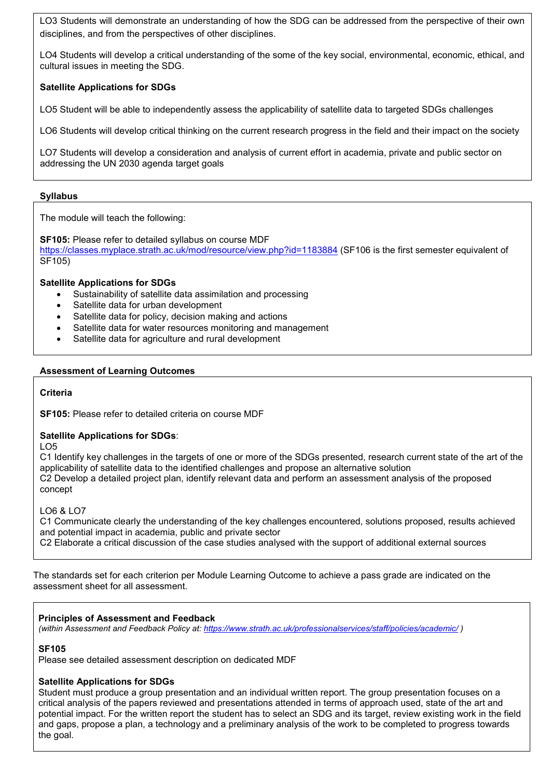LO3 Students will demonstrate an understanding of how the SDG can be addressed from the perspective of their own disciplines, and from the perspectives of other disciplines.

LO4 Students will develop a critical understanding of the some of the key social, environmental, economic, ethical, and cultural issues in meeting the SDG.

# **Satellite Applications for SDGs**

LO5 Student will be able to independently assess the applicability of satellite data to targeted SDGs challenges

LO6 Students will develop critical thinking on the current research progress in the field and their impact on the society

LO7 Students will develop a consideration and analysis of current effort in academia, private and public sector on addressing the UN 2030 agenda target goals

# **Syllabus**

The module will teach the following:

**SF105:** Please refer to detailed syllabus on course MDF

<https://classes.myplace.strath.ac.uk/mod/resource/view.php?id=1183884> (SF106 is the first semester equivalent of SF105)

# **Satellite Applications for SDGs**

- Sustainability of satellite data assimilation and processing
- Satellite data for urban development
- Satellite data for policy, decision making and actions
- Satellite data for water resources monitoring and management
- Satellite data for agriculture and rural development

# **Assessment of Learning Outcomes**

#### **Criteria**

**SF105:** Please refer to detailed criteria on course MDF

# **Satellite Applications for SDGs**:

LO5

C1 Identify key challenges in the targets of one or more of the SDGs presented, research current state of the art of the applicability of satellite data to the identified challenges and propose an alternative solution C2 Develop a detailed project plan, identify relevant data and perform an assessment analysis of the proposed concept

# LO6 & LO7

C1 Communicate clearly the understanding of the key challenges encountered, solutions proposed, results achieved and potential impact in academia, public and private sector

C2 Elaborate a critical discussion of the case studies analysed with the support of additional external sources

The standards set for each criterion per Module Learning Outcome to achieve a pass grade are indicated on the assessment sheet for all assessment.

#### **Principles of Assessment and Feedback**

*(within Assessment and Feedback Policy at:<https://www.strath.ac.uk/professionalservices/staff/policies/academic/> )*

# **SF105**

Please see detailed assessment description on dedicated MDF

# **Satellite Applications for SDGs**

Student must produce a group presentation and an individual written report. The group presentation focuses on a critical analysis of the papers reviewed and presentations attended in terms of approach used, state of the art and potential impact. For the written report the student has to select an SDG and its target, review existing work in the field and gaps, propose a plan, a technology and a preliminary analysis of the work to be completed to progress towards the goal.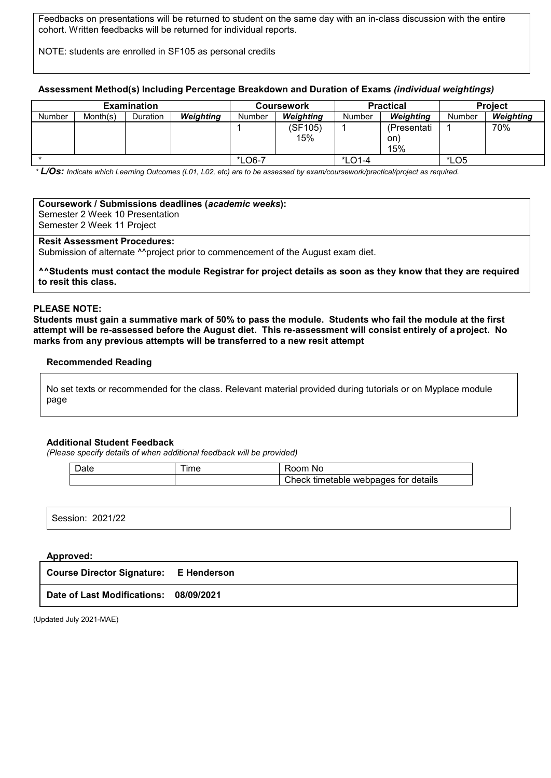Feedbacks on presentations will be returned to student on the same day with an in-class discussion with the entire cohort. Written feedbacks will be returned for individual reports.

NOTE: students are enrolled in SF105 as personal credits

#### **Assessment Method(s) Including Percentage Breakdown and Duration of Exams** *(individual weightings)*

|               |          | <b>Examination</b> |                  |        | Coursework     |          | <b>Practical</b>          | <b>Project</b> |           |
|---------------|----------|--------------------|------------------|--------|----------------|----------|---------------------------|----------------|-----------|
| <b>Number</b> | Month(s) | <b>Duration</b>    | <b>Weighting</b> | Number | Weighting      | Number   | Weighting                 | Number         | Weighting |
|               |          |                    |                  |        | (SF105)<br>15% |          | (Presentati<br>on)<br>15% |                | 70%       |
|               |          |                    |                  | *LO6-7 |                | $*LO1-4$ |                           | <i>*</i> LO5   |           |

*\* L/Os: Indicate which Learning Outcomes (L01, L02, etc) are to be assessed by exam/coursework/practical/project as required.*

| Coursework / Submissions deadlines (academic weeks):<br>Semester 2 Week 10 Presentation<br>Semester 2 Week 11 Project                |
|--------------------------------------------------------------------------------------------------------------------------------------|
| <b>Resit Assessment Procedures:</b><br>Submission of alternate <sup>A</sup> project prior to commencement of the August exam diet.   |
| AAStudents must contact the module Registrar for project details as soon as they know that they are required<br>to resit this class. |

#### **PLEASE NOTE:**

**Students must gain a summative mark of 50% to pass the module. Students who fail the module at the first attempt will be re-assessed before the August diet. This re-assessment will consist entirely of aproject. No marks from any previous attempts will be transferred to a new resit attempt**

# **Recommended Reading**

No set texts or recommended for the class. Relevant material provided during tutorials or on Myplace module page

#### **Additional Student Feedback**

*(Please specify details of when additional feedback will be provided)*

| $\sim$<br>Date | ıme | Room<br>.No                                |
|----------------|-----|--------------------------------------------|
|                |     | webpages for details<br>Check<br>timetable |

|  | Session: 2021/22 |  |  |  |  |  |  |
|--|------------------|--|--|--|--|--|--|
|--|------------------|--|--|--|--|--|--|

#### **Approved:**

| <b>Course Director Signature: E Henderson</b> |  |
|-----------------------------------------------|--|
| Date of Last Modifications: 08/09/2021        |  |

(Updated July 2021-MAE)